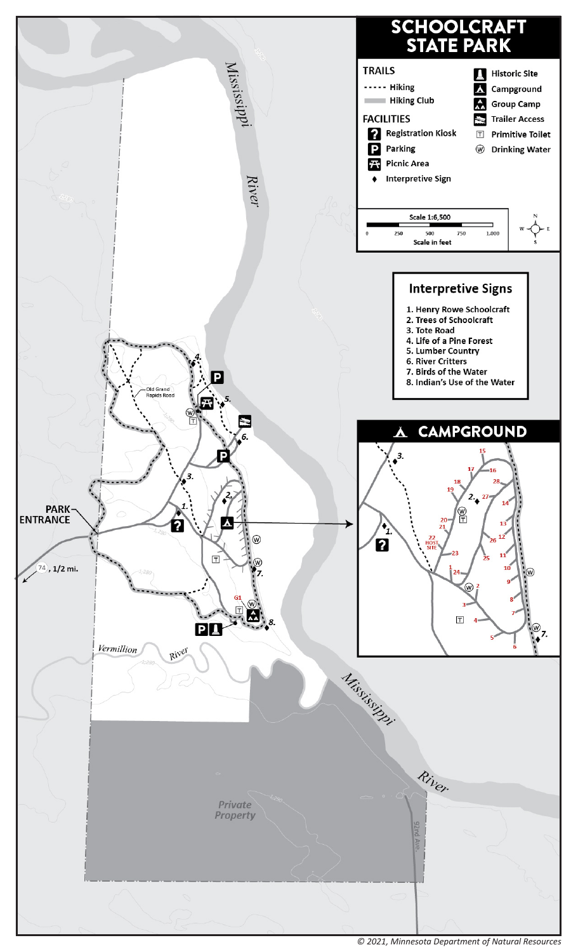

*© 2021, Minnesota Department of Natural Resources*